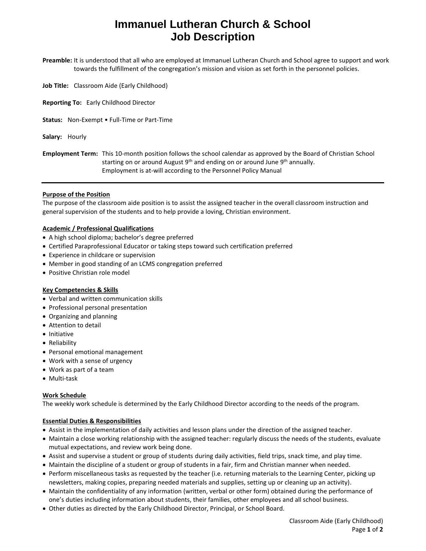# **Immanuel Lutheran Church & School Job Description**

**Preamble:** It is understood that all who are employed at Immanuel Lutheran Church and School agree to support and work towards the fulfillment of the congregation's mission and vision as set forth in the personnel policies.

- **Job Title:** Classroom Aide (Early Childhood)
- **Reporting To:** Early Childhood Director
- **Status:** Non-Exempt Full-Time or Part-Time
- **Salary:** Hourly

**Employment Term:** This 10-month position follows the school calendar as approved by the Board of Christian School starting on or around August 9<sup>th</sup> and ending on or around June 9<sup>th</sup> annually. Employment is at-will according to the Personnel Policy Manual

#### **Purpose of the Position**

The purpose of the classroom aide position is to assist the assigned teacher in the overall classroom instruction and general supervision of the students and to help provide a loving, Christian environment.

### **Academic / Professional Qualifications**

- A high school diploma; bachelor's degree preferred
- Certified Paraprofessional Educator or taking steps toward such certification preferred
- Experience in childcare or supervision
- Member in good standing of an LCMS congregation preferred
- Positive Christian role model

### **Key Competencies & Skills**

- Verbal and written communication skills
- Professional personal presentation
- Organizing and planning
- Attention to detail
- Initiative
- Reliability
- Personal emotional management
- Work with a sense of urgency
- Work as part of a team
- Multi-task

### **Work Schedule**

The weekly work schedule is determined by the Early Childhood Director according to the needs of the program.

### **Essential Duties & Responsibilities**

- Assist in the implementation of daily activities and lesson plans under the direction of the assigned teacher.
- Maintain a close working relationship with the assigned teacher: regularly discuss the needs of the students, evaluate mutual expectations, and review work being done.
- Assist and supervise a student or group of students during daily activities, field trips, snack time, and play time.
- Maintain the discipline of a student or group of students in a fair, firm and Christian manner when needed.
- Perform miscellaneous tasks as requested by the teacher (i.e. returning materials to the Learning Center, picking up newsletters, making copies, preparing needed materials and supplies, setting up or cleaning up an activity).
- Maintain the confidentiality of any information (written, verbal or other form) obtained during the performance of one's duties including information about students, their families, other employees and all school business.
- Other duties as directed by the Early Childhood Director, Principal, or School Board.